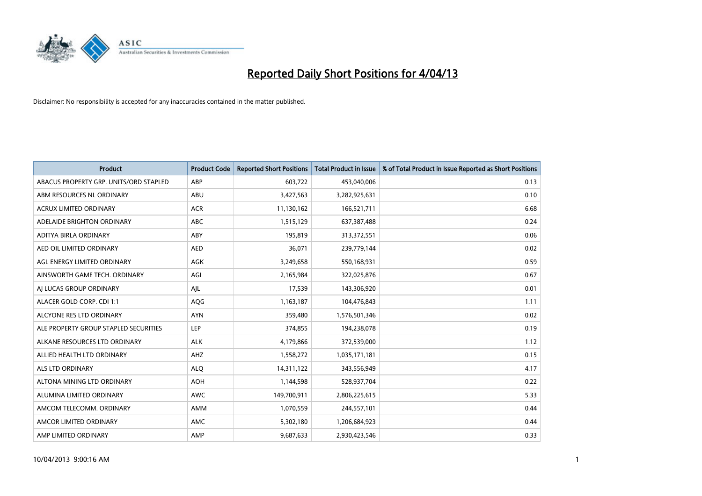

| <b>Product</b>                         | <b>Product Code</b> | <b>Reported Short Positions</b> | <b>Total Product in Issue</b> | % of Total Product in Issue Reported as Short Positions |
|----------------------------------------|---------------------|---------------------------------|-------------------------------|---------------------------------------------------------|
| ABACUS PROPERTY GRP. UNITS/ORD STAPLED | ABP                 | 603,722                         | 453,040,006                   | 0.13                                                    |
| ABM RESOURCES NL ORDINARY              | ABU                 | 3,427,563                       | 3,282,925,631                 | 0.10                                                    |
| <b>ACRUX LIMITED ORDINARY</b>          | <b>ACR</b>          | 11,130,162                      | 166,521,711                   | 6.68                                                    |
| ADELAIDE BRIGHTON ORDINARY             | <b>ABC</b>          | 1,515,129                       | 637,387,488                   | 0.24                                                    |
| ADITYA BIRLA ORDINARY                  | ABY                 | 195,819                         | 313,372,551                   | 0.06                                                    |
| AED OIL LIMITED ORDINARY               | <b>AED</b>          | 36,071                          | 239,779,144                   | 0.02                                                    |
| AGL ENERGY LIMITED ORDINARY            | AGK                 | 3,249,658                       | 550,168,931                   | 0.59                                                    |
| AINSWORTH GAME TECH. ORDINARY          | AGI                 | 2,165,984                       | 322,025,876                   | 0.67                                                    |
| AI LUCAS GROUP ORDINARY                | AJL                 | 17,539                          | 143,306,920                   | 0.01                                                    |
| ALACER GOLD CORP. CDI 1:1              | AQG                 | 1,163,187                       | 104,476,843                   | 1.11                                                    |
| ALCYONE RES LTD ORDINARY               | <b>AYN</b>          | 359,480                         | 1,576,501,346                 | 0.02                                                    |
| ALE PROPERTY GROUP STAPLED SECURITIES  | LEP                 | 374,855                         | 194,238,078                   | 0.19                                                    |
| ALKANE RESOURCES LTD ORDINARY          | <b>ALK</b>          | 4,179,866                       | 372,539,000                   | 1.12                                                    |
| ALLIED HEALTH LTD ORDINARY             | AHZ                 | 1,558,272                       | 1,035,171,181                 | 0.15                                                    |
| ALS LTD ORDINARY                       | <b>ALQ</b>          | 14,311,122                      | 343,556,949                   | 4.17                                                    |
| ALTONA MINING LTD ORDINARY             | <b>AOH</b>          | 1,144,598                       | 528,937,704                   | 0.22                                                    |
| ALUMINA LIMITED ORDINARY               | <b>AWC</b>          | 149,700,911                     | 2,806,225,615                 | 5.33                                                    |
| AMCOM TELECOMM, ORDINARY               | AMM                 | 1,070,559                       | 244,557,101                   | 0.44                                                    |
| AMCOR LIMITED ORDINARY                 | AMC                 | 5,302,180                       | 1,206,684,923                 | 0.44                                                    |
| AMP LIMITED ORDINARY                   | AMP                 | 9,687,633                       | 2,930,423,546                 | 0.33                                                    |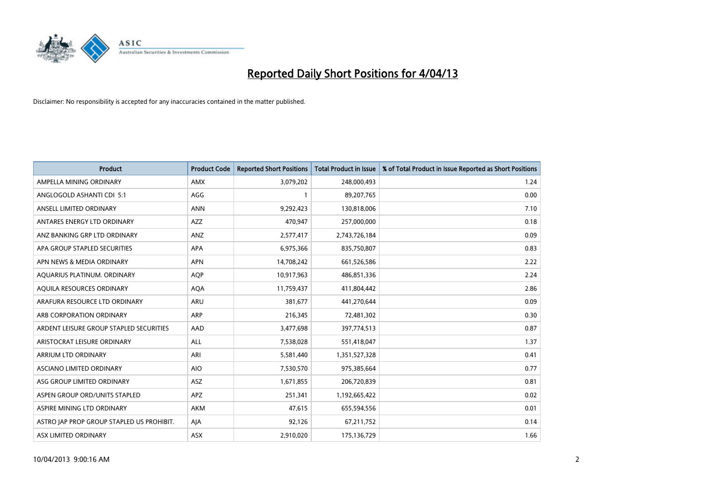

| <b>Product</b>                            | <b>Product Code</b> | <b>Reported Short Positions</b> | <b>Total Product in Issue</b> | % of Total Product in Issue Reported as Short Positions |
|-------------------------------------------|---------------------|---------------------------------|-------------------------------|---------------------------------------------------------|
| AMPELLA MINING ORDINARY                   | AMX                 | 3,079,202                       | 248,000,493                   | 1.24                                                    |
| ANGLOGOLD ASHANTI CDI 5:1                 | AGG                 | 1                               | 89,207,765                    | 0.00                                                    |
| ANSELL LIMITED ORDINARY                   | <b>ANN</b>          | 9,292,423                       | 130,818,006                   | 7.10                                                    |
| ANTARES ENERGY LTD ORDINARY               | <b>AZZ</b>          | 470,947                         | 257,000,000                   | 0.18                                                    |
| ANZ BANKING GRP LTD ORDINARY              | ANZ                 | 2,577,417                       | 2,743,726,184                 | 0.09                                                    |
| APA GROUP STAPLED SECURITIES              | APA                 | 6,975,366                       | 835,750,807                   | 0.83                                                    |
| APN NEWS & MEDIA ORDINARY                 | <b>APN</b>          | 14,708,242                      | 661,526,586                   | 2.22                                                    |
| AQUARIUS PLATINUM. ORDINARY               | <b>AQP</b>          | 10,917,963                      | 486,851,336                   | 2.24                                                    |
| AQUILA RESOURCES ORDINARY                 | <b>AQA</b>          | 11,759,437                      | 411,804,442                   | 2.86                                                    |
| ARAFURA RESOURCE LTD ORDINARY             | ARU                 | 381,677                         | 441,270,644                   | 0.09                                                    |
| ARB CORPORATION ORDINARY                  | ARP                 | 216,345                         | 72,481,302                    | 0.30                                                    |
| ARDENT LEISURE GROUP STAPLED SECURITIES   | AAD                 | 3,477,698                       | 397,774,513                   | 0.87                                                    |
| ARISTOCRAT LEISURE ORDINARY               | ALL                 | 7,538,028                       | 551,418,047                   | 1.37                                                    |
| <b>ARRIUM LTD ORDINARY</b>                | ARI                 | 5,581,440                       | 1,351,527,328                 | 0.41                                                    |
| ASCIANO LIMITED ORDINARY                  | <b>AIO</b>          | 7,530,570                       | 975,385,664                   | 0.77                                                    |
| ASG GROUP LIMITED ORDINARY                | ASZ                 | 1,671,855                       | 206,720,839                   | 0.81                                                    |
| ASPEN GROUP ORD/UNITS STAPLED             | APZ                 | 251,341                         | 1,192,665,422                 | 0.02                                                    |
| ASPIRE MINING LTD ORDINARY                | <b>AKM</b>          | 47,615                          | 655,594,556                   | 0.01                                                    |
| ASTRO JAP PROP GROUP STAPLED US PROHIBIT. | AJA                 | 92,126                          | 67,211,752                    | 0.14                                                    |
| ASX LIMITED ORDINARY                      | ASX                 | 2,910,020                       | 175,136,729                   | 1.66                                                    |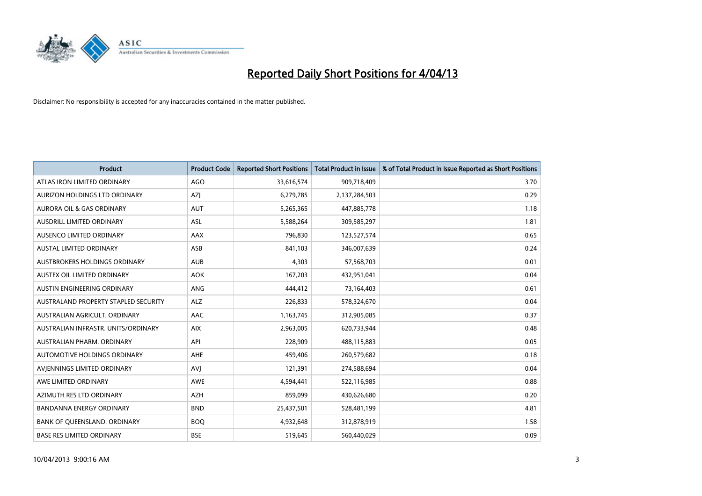

| <b>Product</b>                       | <b>Product Code</b> | <b>Reported Short Positions</b> | <b>Total Product in Issue</b> | % of Total Product in Issue Reported as Short Positions |
|--------------------------------------|---------------------|---------------------------------|-------------------------------|---------------------------------------------------------|
| ATLAS IRON LIMITED ORDINARY          | <b>AGO</b>          | 33,616,574                      | 909,718,409                   | 3.70                                                    |
| AURIZON HOLDINGS LTD ORDINARY        | AZJ                 | 6,279,785                       | 2,137,284,503                 | 0.29                                                    |
| <b>AURORA OIL &amp; GAS ORDINARY</b> | <b>AUT</b>          | 5,265,365                       | 447,885,778                   | 1.18                                                    |
| AUSDRILL LIMITED ORDINARY            | ASL                 | 5,588,264                       | 309,585,297                   | 1.81                                                    |
| AUSENCO LIMITED ORDINARY             | AAX                 | 796,830                         | 123,527,574                   | 0.65                                                    |
| <b>AUSTAL LIMITED ORDINARY</b>       | ASB                 | 841,103                         | 346,007,639                   | 0.24                                                    |
| AUSTBROKERS HOLDINGS ORDINARY        | <b>AUB</b>          | 4,303                           | 57,568,703                    | 0.01                                                    |
| AUSTEX OIL LIMITED ORDINARY          | <b>AOK</b>          | 167,203                         | 432,951,041                   | 0.04                                                    |
| AUSTIN ENGINEERING ORDINARY          | ANG                 | 444,412                         | 73,164,403                    | 0.61                                                    |
| AUSTRALAND PROPERTY STAPLED SECURITY | <b>ALZ</b>          | 226,833                         | 578,324,670                   | 0.04                                                    |
| AUSTRALIAN AGRICULT. ORDINARY        | AAC                 | 1,163,745                       | 312,905,085                   | 0.37                                                    |
| AUSTRALIAN INFRASTR, UNITS/ORDINARY  | <b>AIX</b>          | 2,963,005                       | 620,733,944                   | 0.48                                                    |
| AUSTRALIAN PHARM, ORDINARY           | API                 | 228,909                         | 488,115,883                   | 0.05                                                    |
| AUTOMOTIVE HOLDINGS ORDINARY         | <b>AHE</b>          | 459,406                         | 260,579,682                   | 0.18                                                    |
| AVIENNINGS LIMITED ORDINARY          | AVI                 | 121,391                         | 274,588,694                   | 0.04                                                    |
| AWE LIMITED ORDINARY                 | <b>AWE</b>          | 4,594,441                       | 522,116,985                   | 0.88                                                    |
| AZIMUTH RES LTD ORDINARY             | <b>AZH</b>          | 859,099                         | 430,626,680                   | 0.20                                                    |
| <b>BANDANNA ENERGY ORDINARY</b>      | <b>BND</b>          | 25,437,501                      | 528,481,199                   | 4.81                                                    |
| BANK OF QUEENSLAND. ORDINARY         | <b>BOQ</b>          | 4,932,648                       | 312,878,919                   | 1.58                                                    |
| <b>BASE RES LIMITED ORDINARY</b>     | <b>BSE</b>          | 519,645                         | 560,440,029                   | 0.09                                                    |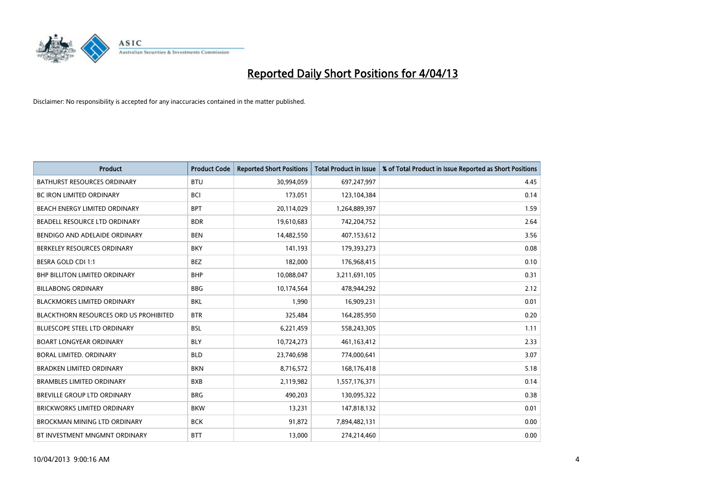

| <b>Product</b>                         | <b>Product Code</b> | <b>Reported Short Positions</b> | <b>Total Product in Issue</b> | % of Total Product in Issue Reported as Short Positions |
|----------------------------------------|---------------------|---------------------------------|-------------------------------|---------------------------------------------------------|
| <b>BATHURST RESOURCES ORDINARY</b>     | <b>BTU</b>          | 30,994,059                      | 697,247,997                   | 4.45                                                    |
| BC IRON LIMITED ORDINARY               | <b>BCI</b>          | 173,051                         | 123,104,384                   | 0.14                                                    |
| BEACH ENERGY LIMITED ORDINARY          | <b>BPT</b>          | 20,114,029                      | 1,264,889,397                 | 1.59                                                    |
| BEADELL RESOURCE LTD ORDINARY          | <b>BDR</b>          | 19,610,683                      | 742,204,752                   | 2.64                                                    |
| BENDIGO AND ADELAIDE ORDINARY          | <b>BEN</b>          | 14,482,550                      | 407,153,612                   | 3.56                                                    |
| BERKELEY RESOURCES ORDINARY            | <b>BKY</b>          | 141,193                         | 179,393,273                   | 0.08                                                    |
| BESRA GOLD CDI 1:1                     | <b>BEZ</b>          | 182,000                         | 176,968,415                   | 0.10                                                    |
| BHP BILLITON LIMITED ORDINARY          | <b>BHP</b>          | 10,088,047                      | 3,211,691,105                 | 0.31                                                    |
| <b>BILLABONG ORDINARY</b>              | <b>BBG</b>          | 10,174,564                      | 478,944,292                   | 2.12                                                    |
| <b>BLACKMORES LIMITED ORDINARY</b>     | <b>BKL</b>          | 1,990                           | 16,909,231                    | 0.01                                                    |
| BLACKTHORN RESOURCES ORD US PROHIBITED | <b>BTR</b>          | 325,484                         | 164,285,950                   | 0.20                                                    |
| <b>BLUESCOPE STEEL LTD ORDINARY</b>    | BSL                 | 6,221,459                       | 558,243,305                   | 1.11                                                    |
| <b>BOART LONGYEAR ORDINARY</b>         | <b>BLY</b>          | 10,724,273                      | 461,163,412                   | 2.33                                                    |
| <b>BORAL LIMITED, ORDINARY</b>         | <b>BLD</b>          | 23,740,698                      | 774,000,641                   | 3.07                                                    |
| <b>BRADKEN LIMITED ORDINARY</b>        | <b>BKN</b>          | 8,716,572                       | 168,176,418                   | 5.18                                                    |
| <b>BRAMBLES LIMITED ORDINARY</b>       | <b>BXB</b>          | 2,119,982                       | 1,557,176,371                 | 0.14                                                    |
| BREVILLE GROUP LTD ORDINARY            | <b>BRG</b>          | 490,203                         | 130,095,322                   | 0.38                                                    |
| <b>BRICKWORKS LIMITED ORDINARY</b>     | <b>BKW</b>          | 13,231                          | 147,818,132                   | 0.01                                                    |
| BROCKMAN MINING LTD ORDINARY           | <b>BCK</b>          | 91,872                          | 7,894,482,131                 | 0.00                                                    |
| BT INVESTMENT MNGMNT ORDINARY          | <b>BTT</b>          | 13,000                          | 274,214,460                   | 0.00                                                    |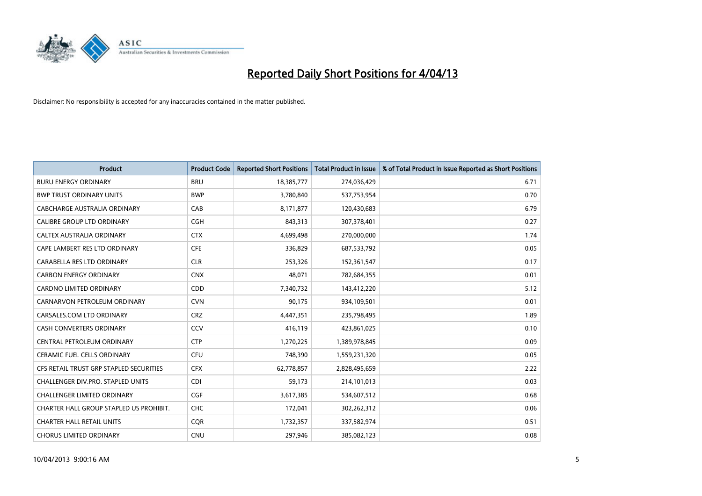

| <b>Product</b>                          | <b>Product Code</b> | <b>Reported Short Positions</b> | <b>Total Product in Issue</b> | % of Total Product in Issue Reported as Short Positions |
|-----------------------------------------|---------------------|---------------------------------|-------------------------------|---------------------------------------------------------|
| <b>BURU ENERGY ORDINARY</b>             | <b>BRU</b>          | 18,385,777                      | 274,036,429                   | 6.71                                                    |
| <b>BWP TRUST ORDINARY UNITS</b>         | <b>BWP</b>          | 3,780,840                       | 537,753,954                   | 0.70                                                    |
| <b>CABCHARGE AUSTRALIA ORDINARY</b>     | CAB                 | 8,171,877                       | 120,430,683                   | 6.79                                                    |
| CALIBRE GROUP LTD ORDINARY              | <b>CGH</b>          | 843,313                         | 307,378,401                   | 0.27                                                    |
| CALTEX AUSTRALIA ORDINARY               | <b>CTX</b>          | 4,699,498                       | 270,000,000                   | 1.74                                                    |
| CAPE LAMBERT RES LTD ORDINARY           | <b>CFE</b>          | 336,829                         | 687,533,792                   | 0.05                                                    |
| CARABELLA RES LTD ORDINARY              | <b>CLR</b>          | 253,326                         | 152,361,547                   | 0.17                                                    |
| <b>CARBON ENERGY ORDINARY</b>           | <b>CNX</b>          | 48.071                          | 782,684,355                   | 0.01                                                    |
| <b>CARDNO LIMITED ORDINARY</b>          | CDD                 | 7,340,732                       | 143,412,220                   | 5.12                                                    |
| CARNARVON PETROLEUM ORDINARY            | <b>CVN</b>          | 90,175                          | 934,109,501                   | 0.01                                                    |
| CARSALES.COM LTD ORDINARY               | <b>CRZ</b>          | 4,447,351                       | 235,798,495                   | 1.89                                                    |
| <b>CASH CONVERTERS ORDINARY</b>         | <b>CCV</b>          | 416,119                         | 423,861,025                   | 0.10                                                    |
| CENTRAL PETROLEUM ORDINARY              | <b>CTP</b>          | 1,270,225                       | 1,389,978,845                 | 0.09                                                    |
| <b>CERAMIC FUEL CELLS ORDINARY</b>      | <b>CFU</b>          | 748,390                         | 1,559,231,320                 | 0.05                                                    |
| CFS RETAIL TRUST GRP STAPLED SECURITIES | <b>CFX</b>          | 62,778,857                      | 2,828,495,659                 | 2.22                                                    |
| CHALLENGER DIV.PRO. STAPLED UNITS       | <b>CDI</b>          | 59,173                          | 214,101,013                   | 0.03                                                    |
| CHALLENGER LIMITED ORDINARY             | <b>CGF</b>          | 3,617,385                       | 534,607,512                   | 0.68                                                    |
| CHARTER HALL GROUP STAPLED US PROHIBIT. | <b>CHC</b>          | 172,041                         | 302,262,312                   | 0.06                                                    |
| <b>CHARTER HALL RETAIL UNITS</b>        | <b>COR</b>          | 1,732,357                       | 337,582,974                   | 0.51                                                    |
| <b>CHORUS LIMITED ORDINARY</b>          | <b>CNU</b>          | 297,946                         | 385,082,123                   | 0.08                                                    |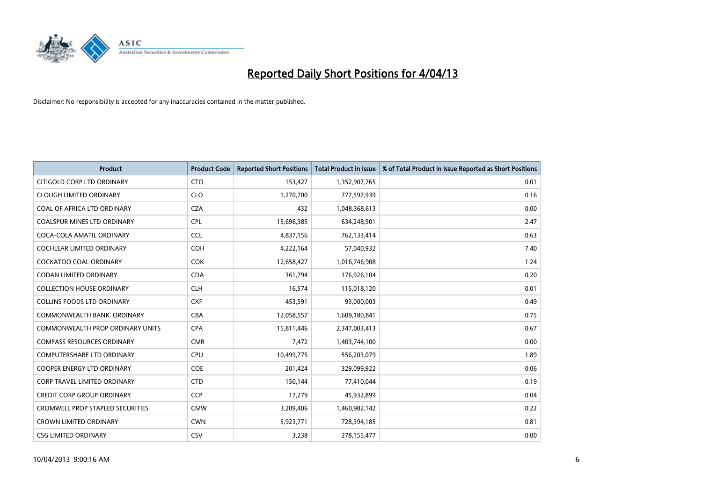

| <b>Product</b>                          | <b>Product Code</b> | <b>Reported Short Positions</b> | <b>Total Product in Issue</b> | % of Total Product in Issue Reported as Short Positions |
|-----------------------------------------|---------------------|---------------------------------|-------------------------------|---------------------------------------------------------|
| CITIGOLD CORP LTD ORDINARY              | <b>CTO</b>          | 153,427                         | 1,352,907,765                 | 0.01                                                    |
| <b>CLOUGH LIMITED ORDINARY</b>          | <b>CLO</b>          | 1,270,700                       | 777,597,939                   | 0.16                                                    |
| COAL OF AFRICA LTD ORDINARY             | <b>CZA</b>          | 432                             | 1,048,368,613                 | 0.00                                                    |
| <b>COALSPUR MINES LTD ORDINARY</b>      | <b>CPL</b>          | 15,696,385                      | 634,248,901                   | 2.47                                                    |
| COCA-COLA AMATIL ORDINARY               | <b>CCL</b>          | 4,837,156                       | 762,133,414                   | 0.63                                                    |
| <b>COCHLEAR LIMITED ORDINARY</b>        | COH                 | 4,222,164                       | 57,040,932                    | 7.40                                                    |
| <b>COCKATOO COAL ORDINARY</b>           | <b>COK</b>          | 12,658,427                      | 1,016,746,908                 | 1.24                                                    |
| CODAN LIMITED ORDINARY                  | <b>CDA</b>          | 361,794                         | 176,926,104                   | 0.20                                                    |
| <b>COLLECTION HOUSE ORDINARY</b>        | <b>CLH</b>          | 16,574                          | 115,018,120                   | 0.01                                                    |
| <b>COLLINS FOODS LTD ORDINARY</b>       | <b>CKF</b>          | 453,591                         | 93,000,003                    | 0.49                                                    |
| COMMONWEALTH BANK, ORDINARY             | <b>CBA</b>          | 12,058,557                      | 1,609,180,841                 | 0.75                                                    |
| <b>COMMONWEALTH PROP ORDINARY UNITS</b> | <b>CPA</b>          | 15,811,446                      | 2,347,003,413                 | 0.67                                                    |
| <b>COMPASS RESOURCES ORDINARY</b>       | <b>CMR</b>          | 7,472                           | 1,403,744,100                 | 0.00                                                    |
| <b>COMPUTERSHARE LTD ORDINARY</b>       | <b>CPU</b>          | 10,499,775                      | 556,203,079                   | 1.89                                                    |
| <b>COOPER ENERGY LTD ORDINARY</b>       | <b>COE</b>          | 201,424                         | 329,099,922                   | 0.06                                                    |
| <b>CORP TRAVEL LIMITED ORDINARY</b>     | <b>CTD</b>          | 150,144                         | 77,410,044                    | 0.19                                                    |
| <b>CREDIT CORP GROUP ORDINARY</b>       | <b>CCP</b>          | 17,279                          | 45,932,899                    | 0.04                                                    |
| <b>CROMWELL PROP STAPLED SECURITIES</b> | <b>CMW</b>          | 3,209,406                       | 1,460,982,142                 | 0.22                                                    |
| <b>CROWN LIMITED ORDINARY</b>           | <b>CWN</b>          | 5,923,771                       | 728,394,185                   | 0.81                                                    |
| <b>CSG LIMITED ORDINARY</b>             | CSV                 | 3,238                           | 278,155,477                   | 0.00                                                    |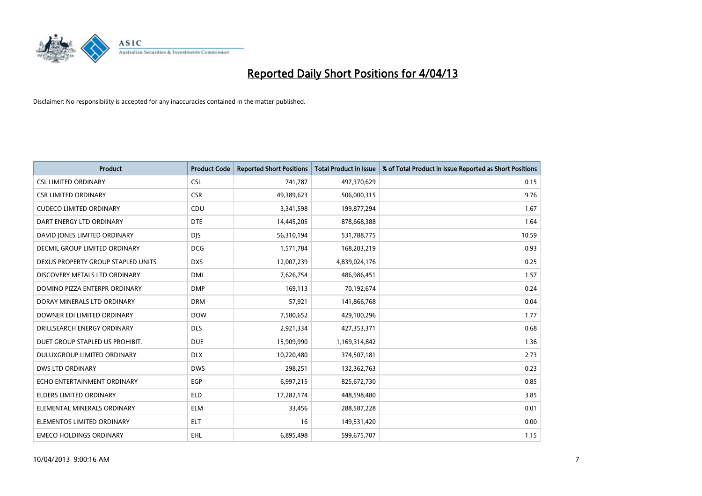

| <b>Product</b>                     | <b>Product Code</b> | <b>Reported Short Positions</b> | <b>Total Product in Issue</b> | % of Total Product in Issue Reported as Short Positions |
|------------------------------------|---------------------|---------------------------------|-------------------------------|---------------------------------------------------------|
| <b>CSL LIMITED ORDINARY</b>        | <b>CSL</b>          | 741,787                         | 497,370,629                   | 0.15                                                    |
| <b>CSR LIMITED ORDINARY</b>        | <b>CSR</b>          | 49,389,623                      | 506,000,315                   | 9.76                                                    |
| <b>CUDECO LIMITED ORDINARY</b>     | CDU                 | 3,341,598                       | 199,877,294                   | 1.67                                                    |
| DART ENERGY LTD ORDINARY           | <b>DTE</b>          | 14,445,205                      | 878,668,388                   | 1.64                                                    |
| DAVID JONES LIMITED ORDINARY       | <b>DIS</b>          | 56,310,194                      | 531,788,775                   | 10.59                                                   |
| DECMIL GROUP LIMITED ORDINARY      | <b>DCG</b>          | 1,571,784                       | 168,203,219                   | 0.93                                                    |
| DEXUS PROPERTY GROUP STAPLED UNITS | <b>DXS</b>          | 12,007,239                      | 4,839,024,176                 | 0.25                                                    |
| DISCOVERY METALS LTD ORDINARY      | <b>DML</b>          | 7,626,754                       | 486,986,451                   | 1.57                                                    |
| DOMINO PIZZA ENTERPR ORDINARY      | <b>DMP</b>          | 169,113                         | 70,192,674                    | 0.24                                                    |
| DORAY MINERALS LTD ORDINARY        | <b>DRM</b>          | 57,921                          | 141,866,768                   | 0.04                                                    |
| DOWNER EDI LIMITED ORDINARY        | <b>DOW</b>          | 7,580,652                       | 429,100,296                   | 1.77                                                    |
| DRILLSEARCH ENERGY ORDINARY        | <b>DLS</b>          | 2,921,334                       | 427,353,371                   | 0.68                                                    |
| DUET GROUP STAPLED US PROHIBIT.    | <b>DUE</b>          | 15,909,990                      | 1,169,314,842                 | 1.36                                                    |
| DULUXGROUP LIMITED ORDINARY        | <b>DLX</b>          | 10,220,480                      | 374,507,181                   | 2.73                                                    |
| <b>DWS LTD ORDINARY</b>            | <b>DWS</b>          | 298,251                         | 132,362,763                   | 0.23                                                    |
| ECHO ENTERTAINMENT ORDINARY        | <b>EGP</b>          | 6,997,215                       | 825,672,730                   | 0.85                                                    |
| ELDERS LIMITED ORDINARY            | <b>ELD</b>          | 17,282,174                      | 448,598,480                   | 3.85                                                    |
| ELEMENTAL MINERALS ORDINARY        | <b>ELM</b>          | 33,456                          | 288,587,228                   | 0.01                                                    |
| ELEMENTOS LIMITED ORDINARY         | <b>ELT</b>          | 16                              | 149,531,420                   | 0.00                                                    |
| <b>EMECO HOLDINGS ORDINARY</b>     | EHL.                | 6,895,498                       | 599,675,707                   | 1.15                                                    |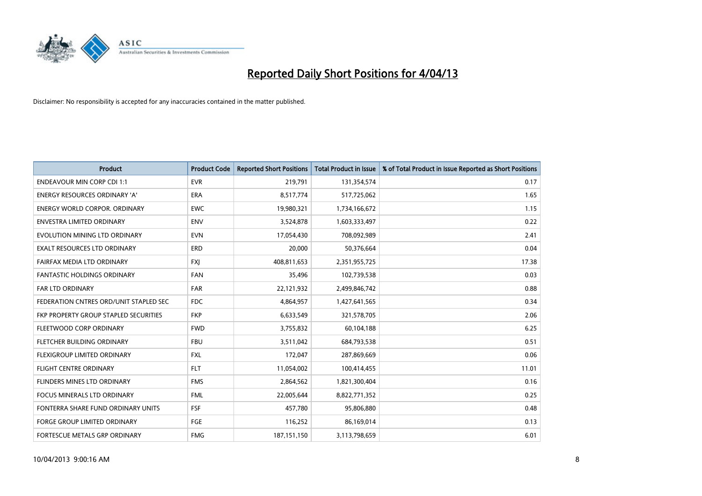

| <b>Product</b>                         | <b>Product Code</b> | <b>Reported Short Positions</b> | <b>Total Product in Issue</b> | % of Total Product in Issue Reported as Short Positions |
|----------------------------------------|---------------------|---------------------------------|-------------------------------|---------------------------------------------------------|
| <b>ENDEAVOUR MIN CORP CDI 1:1</b>      | <b>EVR</b>          | 219,791                         | 131,354,574                   | 0.17                                                    |
| ENERGY RESOURCES ORDINARY 'A'          | <b>ERA</b>          | 8,517,774                       | 517,725,062                   | 1.65                                                    |
| <b>ENERGY WORLD CORPOR, ORDINARY</b>   | <b>EWC</b>          | 19,980,321                      | 1,734,166,672                 | 1.15                                                    |
| <b>ENVESTRA LIMITED ORDINARY</b>       | <b>ENV</b>          | 3,524,878                       | 1,603,333,497                 | 0.22                                                    |
| EVOLUTION MINING LTD ORDINARY          | <b>EVN</b>          | 17,054,430                      | 708,092,989                   | 2.41                                                    |
| <b>EXALT RESOURCES LTD ORDINARY</b>    | ERD                 | 20,000                          | 50,376,664                    | 0.04                                                    |
| FAIRFAX MEDIA LTD ORDINARY             | <b>FXJ</b>          | 408,811,653                     | 2,351,955,725                 | 17.38                                                   |
| <b>FANTASTIC HOLDINGS ORDINARY</b>     | <b>FAN</b>          | 35,496                          | 102,739,538                   | 0.03                                                    |
| FAR LTD ORDINARY                       | FAR                 | 22,121,932                      | 2,499,846,742                 | 0.88                                                    |
| FEDERATION CNTRES ORD/UNIT STAPLED SEC | FDC                 | 4,864,957                       | 1,427,641,565                 | 0.34                                                    |
| FKP PROPERTY GROUP STAPLED SECURITIES  | <b>FKP</b>          | 6,633,549                       | 321,578,705                   | 2.06                                                    |
| FLEETWOOD CORP ORDINARY                | <b>FWD</b>          | 3,755,832                       | 60,104,188                    | 6.25                                                    |
| FLETCHER BUILDING ORDINARY             | <b>FBU</b>          | 3,511,042                       | 684,793,538                   | 0.51                                                    |
| FLEXIGROUP LIMITED ORDINARY            | <b>FXL</b>          | 172,047                         | 287,869,669                   | 0.06                                                    |
| <b>FLIGHT CENTRE ORDINARY</b>          | <b>FLT</b>          | 11,054,002                      | 100,414,455                   | 11.01                                                   |
| FLINDERS MINES LTD ORDINARY            | <b>FMS</b>          | 2,864,562                       | 1,821,300,404                 | 0.16                                                    |
| <b>FOCUS MINERALS LTD ORDINARY</b>     | <b>FML</b>          | 22,005,644                      | 8,822,771,352                 | 0.25                                                    |
| FONTERRA SHARE FUND ORDINARY UNITS     | <b>FSF</b>          | 457,780                         | 95,806,880                    | 0.48                                                    |
| <b>FORGE GROUP LIMITED ORDINARY</b>    | FGE                 | 116,252                         | 86,169,014                    | 0.13                                                    |
| FORTESCUE METALS GRP ORDINARY          | <b>FMG</b>          | 187, 151, 150                   | 3,113,798,659                 | 6.01                                                    |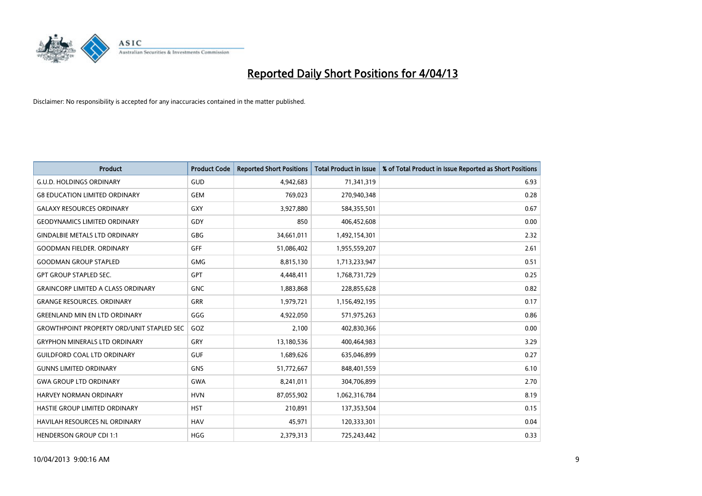

| <b>Product</b>                                   | <b>Product Code</b> | <b>Reported Short Positions</b> | <b>Total Product in Issue</b> | % of Total Product in Issue Reported as Short Positions |
|--------------------------------------------------|---------------------|---------------------------------|-------------------------------|---------------------------------------------------------|
| <b>G.U.D. HOLDINGS ORDINARY</b>                  | GUD                 | 4,942,683                       | 71,341,319                    | 6.93                                                    |
| <b>G8 EDUCATION LIMITED ORDINARY</b>             | <b>GEM</b>          | 769,023                         | 270,940,348                   | 0.28                                                    |
| <b>GALAXY RESOURCES ORDINARY</b>                 | GXY                 | 3,927,880                       | 584,355,501                   | 0.67                                                    |
| <b>GEODYNAMICS LIMITED ORDINARY</b>              | GDY                 | 850                             | 406,452,608                   | 0.00                                                    |
| <b>GINDALBIE METALS LTD ORDINARY</b>             | GBG                 | 34,661,011                      | 1,492,154,301                 | 2.32                                                    |
| <b>GOODMAN FIELDER, ORDINARY</b>                 | <b>GFF</b>          | 51,086,402                      | 1,955,559,207                 | 2.61                                                    |
| <b>GOODMAN GROUP STAPLED</b>                     | GMG                 | 8,815,130                       | 1,713,233,947                 | 0.51                                                    |
| <b>GPT GROUP STAPLED SEC.</b>                    | <b>GPT</b>          | 4,448,411                       | 1,768,731,729                 | 0.25                                                    |
| <b>GRAINCORP LIMITED A CLASS ORDINARY</b>        | <b>GNC</b>          | 1,883,868                       | 228,855,628                   | 0.82                                                    |
| <b>GRANGE RESOURCES, ORDINARY</b>                | GRR                 | 1,979,721                       | 1,156,492,195                 | 0.17                                                    |
| <b>GREENLAND MIN EN LTD ORDINARY</b>             | GGG                 | 4,922,050                       | 571,975,263                   | 0.86                                                    |
| <b>GROWTHPOINT PROPERTY ORD/UNIT STAPLED SEC</b> | GOZ                 | 2,100                           | 402,830,366                   | 0.00                                                    |
| <b>GRYPHON MINERALS LTD ORDINARY</b>             | GRY                 | 13,180,536                      | 400,464,983                   | 3.29                                                    |
| <b>GUILDFORD COAL LTD ORDINARY</b>               | <b>GUF</b>          | 1,689,626                       | 635,046,899                   | 0.27                                                    |
| <b>GUNNS LIMITED ORDINARY</b>                    | <b>GNS</b>          | 51,772,667                      | 848,401,559                   | 6.10                                                    |
| <b>GWA GROUP LTD ORDINARY</b>                    | <b>GWA</b>          | 8,241,011                       | 304,706,899                   | 2.70                                                    |
| HARVEY NORMAN ORDINARY                           | <b>HVN</b>          | 87,055,902                      | 1,062,316,784                 | 8.19                                                    |
| HASTIE GROUP LIMITED ORDINARY                    | <b>HST</b>          | 210,891                         | 137,353,504                   | 0.15                                                    |
| <b>HAVILAH RESOURCES NL ORDINARY</b>             | <b>HAV</b>          | 45,971                          | 120,333,301                   | 0.04                                                    |
| <b>HENDERSON GROUP CDI 1:1</b>                   | <b>HGG</b>          | 2,379,313                       | 725,243,442                   | 0.33                                                    |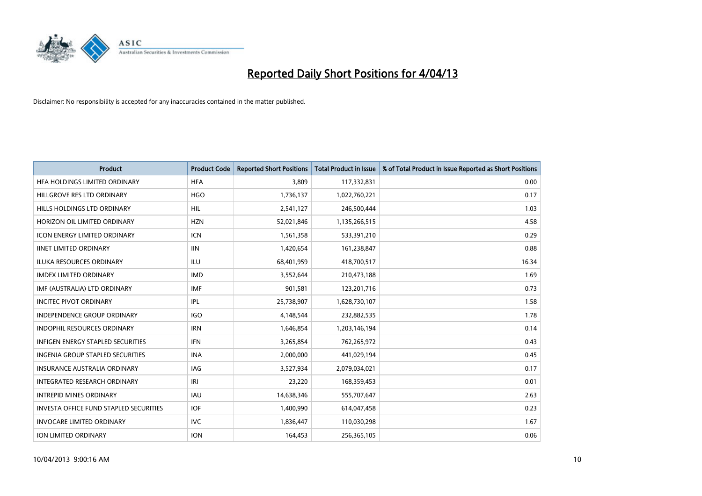

| <b>Product</b>                                | <b>Product Code</b> | <b>Reported Short Positions</b> | <b>Total Product in Issue</b> | % of Total Product in Issue Reported as Short Positions |
|-----------------------------------------------|---------------------|---------------------------------|-------------------------------|---------------------------------------------------------|
| HFA HOLDINGS LIMITED ORDINARY                 | <b>HFA</b>          | 3,809                           | 117,332,831                   | 0.00                                                    |
| HILLGROVE RES LTD ORDINARY                    | <b>HGO</b>          | 1,736,137                       | 1,022,760,221                 | 0.17                                                    |
| HILLS HOLDINGS LTD ORDINARY                   | <b>HIL</b>          | 2,541,127                       | 246,500,444                   | 1.03                                                    |
| HORIZON OIL LIMITED ORDINARY                  | <b>HZN</b>          | 52,021,846                      | 1,135,266,515                 | 4.58                                                    |
| <b>ICON ENERGY LIMITED ORDINARY</b>           | ICN                 | 1,561,358                       | 533,391,210                   | 0.29                                                    |
| <b>IINET LIMITED ORDINARY</b>                 | <b>IIN</b>          | 1,420,654                       | 161,238,847                   | 0.88                                                    |
| <b>ILUKA RESOURCES ORDINARY</b>               | <b>ILU</b>          | 68,401,959                      | 418,700,517                   | 16.34                                                   |
| <b>IMDEX LIMITED ORDINARY</b>                 | <b>IMD</b>          | 3,552,644                       | 210,473,188                   | 1.69                                                    |
| IMF (AUSTRALIA) LTD ORDINARY                  | <b>IMF</b>          | 901,581                         | 123,201,716                   | 0.73                                                    |
| <b>INCITEC PIVOT ORDINARY</b>                 | IPL                 | 25,738,907                      | 1,628,730,107                 | 1.58                                                    |
| INDEPENDENCE GROUP ORDINARY                   | <b>IGO</b>          | 4,148,544                       | 232,882,535                   | 1.78                                                    |
| <b>INDOPHIL RESOURCES ORDINARY</b>            | <b>IRN</b>          | 1,646,854                       | 1,203,146,194                 | 0.14                                                    |
| INFIGEN ENERGY STAPLED SECURITIES             | <b>IFN</b>          | 3,265,854                       | 762,265,972                   | 0.43                                                    |
| <b>INGENIA GROUP STAPLED SECURITIES</b>       | <b>INA</b>          | 2,000,000                       | 441,029,194                   | 0.45                                                    |
| <b>INSURANCE AUSTRALIA ORDINARY</b>           | <b>IAG</b>          | 3,527,934                       | 2,079,034,021                 | 0.17                                                    |
| INTEGRATED RESEARCH ORDINARY                  | IRI                 | 23,220                          | 168,359,453                   | 0.01                                                    |
| <b>INTREPID MINES ORDINARY</b>                | IAU                 | 14,638,346                      | 555,707,647                   | 2.63                                                    |
| <b>INVESTA OFFICE FUND STAPLED SECURITIES</b> | <b>IOF</b>          | 1,400,990                       | 614,047,458                   | 0.23                                                    |
| <b>INVOCARE LIMITED ORDINARY</b>              | <b>IVC</b>          | 1,836,447                       | 110,030,298                   | 1.67                                                    |
| ION LIMITED ORDINARY                          | <b>ION</b>          | 164,453                         | 256,365,105                   | 0.06                                                    |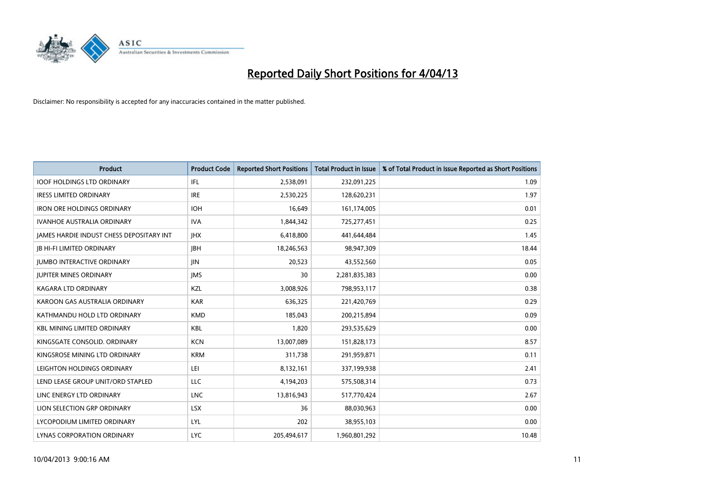

| Product                                  | <b>Product Code</b> | <b>Reported Short Positions</b> | <b>Total Product in Issue</b> | % of Total Product in Issue Reported as Short Positions |
|------------------------------------------|---------------------|---------------------------------|-------------------------------|---------------------------------------------------------|
| <b>IOOF HOLDINGS LTD ORDINARY</b>        | IFL                 | 2,538,091                       | 232,091,225                   | 1.09                                                    |
| <b>IRESS LIMITED ORDINARY</b>            | <b>IRE</b>          | 2,530,225                       | 128,620,231                   | 1.97                                                    |
| <b>IRON ORE HOLDINGS ORDINARY</b>        | <b>IOH</b>          | 16,649                          | 161,174,005                   | 0.01                                                    |
| <b>IVANHOE AUSTRALIA ORDINARY</b>        | <b>IVA</b>          | 1,844,342                       | 725,277,451                   | 0.25                                                    |
| JAMES HARDIE INDUST CHESS DEPOSITARY INT | <b>IHX</b>          | 6,418,800                       | 441,644,484                   | 1.45                                                    |
| <b>JB HI-FI LIMITED ORDINARY</b>         | <b>JBH</b>          | 18,246,563                      | 98,947,309                    | 18.44                                                   |
| <b>JUMBO INTERACTIVE ORDINARY</b>        | <b>JIN</b>          | 20,523                          | 43,552,560                    | 0.05                                                    |
| <b>JUPITER MINES ORDINARY</b>            | <b>IMS</b>          | 30                              | 2,281,835,383                 | 0.00                                                    |
| <b>KAGARA LTD ORDINARY</b>               | KZL                 | 3,008,926                       | 798,953,117                   | 0.38                                                    |
| KAROON GAS AUSTRALIA ORDINARY            | <b>KAR</b>          | 636,325                         | 221,420,769                   | 0.29                                                    |
| KATHMANDU HOLD LTD ORDINARY              | <b>KMD</b>          | 185,043                         | 200,215,894                   | 0.09                                                    |
| <b>KBL MINING LIMITED ORDINARY</b>       | KBL                 | 1,820                           | 293,535,629                   | 0.00                                                    |
| KINGSGATE CONSOLID. ORDINARY             | <b>KCN</b>          | 13,007,089                      | 151,828,173                   | 8.57                                                    |
| KINGSROSE MINING LTD ORDINARY            | <b>KRM</b>          | 311,738                         | 291,959,871                   | 0.11                                                    |
| LEIGHTON HOLDINGS ORDINARY               | LEI                 | 8,132,161                       | 337,199,938                   | 2.41                                                    |
| LEND LEASE GROUP UNIT/ORD STAPLED        | LLC                 | 4,194,203                       | 575,508,314                   | 0.73                                                    |
| LINC ENERGY LTD ORDINARY                 | <b>LNC</b>          | 13,816,943                      | 517,770,424                   | 2.67                                                    |
| LION SELECTION GRP ORDINARY              | <b>LSX</b>          | 36                              | 88,030,963                    | 0.00                                                    |
| LYCOPODIUM LIMITED ORDINARY              | LYL                 | 202                             | 38,955,103                    | 0.00                                                    |
| LYNAS CORPORATION ORDINARY               | <b>LYC</b>          | 205,494,617                     | 1,960,801,292                 | 10.48                                                   |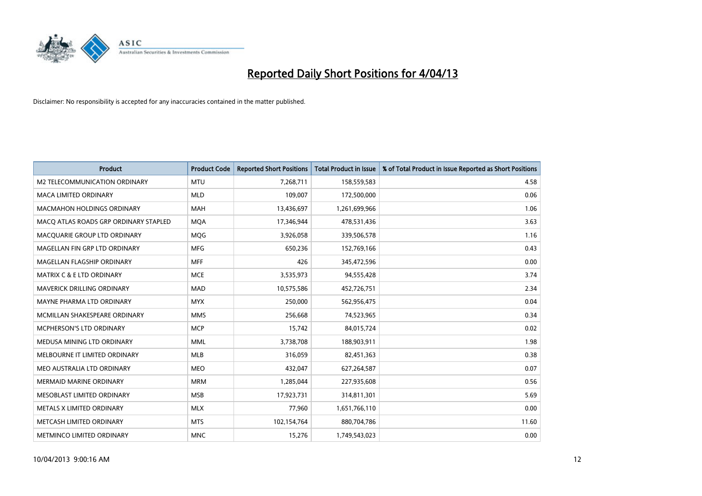

| <b>Product</b>                        | <b>Product Code</b> | <b>Reported Short Positions</b> | <b>Total Product in Issue</b> | % of Total Product in Issue Reported as Short Positions |
|---------------------------------------|---------------------|---------------------------------|-------------------------------|---------------------------------------------------------|
| M2 TELECOMMUNICATION ORDINARY         | <b>MTU</b>          | 7,268,711                       | 158,559,583                   | 4.58                                                    |
| MACA LIMITED ORDINARY                 | <b>MLD</b>          | 109,007                         | 172,500,000                   | 0.06                                                    |
| <b>MACMAHON HOLDINGS ORDINARY</b>     | <b>MAH</b>          | 13,436,697                      | 1,261,699,966                 | 1.06                                                    |
| MACO ATLAS ROADS GRP ORDINARY STAPLED | <b>MQA</b>          | 17,346,944                      | 478,531,436                   | 3.63                                                    |
| MACQUARIE GROUP LTD ORDINARY          | <b>MOG</b>          | 3,926,058                       | 339,506,578                   | 1.16                                                    |
| MAGELLAN FIN GRP LTD ORDINARY         | <b>MFG</b>          | 650,236                         | 152,769,166                   | 0.43                                                    |
| MAGELLAN FLAGSHIP ORDINARY            | <b>MFF</b>          | 426                             | 345,472,596                   | 0.00                                                    |
| <b>MATRIX C &amp; E LTD ORDINARY</b>  | <b>MCE</b>          | 3,535,973                       | 94,555,428                    | 3.74                                                    |
| <b>MAVERICK DRILLING ORDINARY</b>     | <b>MAD</b>          | 10,575,586                      | 452,726,751                   | 2.34                                                    |
| MAYNE PHARMA LTD ORDINARY             | <b>MYX</b>          | 250,000                         | 562,956,475                   | 0.04                                                    |
| MCMILLAN SHAKESPEARE ORDINARY         | <b>MMS</b>          | 256,668                         | 74,523,965                    | 0.34                                                    |
| MCPHERSON'S LTD ORDINARY              | <b>MCP</b>          | 15,742                          | 84,015,724                    | 0.02                                                    |
| MEDUSA MINING LTD ORDINARY            | <b>MML</b>          | 3,738,708                       | 188,903,911                   | 1.98                                                    |
| MELBOURNE IT LIMITED ORDINARY         | MLB                 | 316,059                         | 82,451,363                    | 0.38                                                    |
| MEO AUSTRALIA LTD ORDINARY            | <b>MEO</b>          | 432,047                         | 627,264,587                   | 0.07                                                    |
| MERMAID MARINE ORDINARY               | <b>MRM</b>          | 1,285,044                       | 227,935,608                   | 0.56                                                    |
| MESOBLAST LIMITED ORDINARY            | <b>MSB</b>          | 17,923,731                      | 314,811,301                   | 5.69                                                    |
| METALS X LIMITED ORDINARY             | <b>MLX</b>          | 77,960                          | 1,651,766,110                 | 0.00                                                    |
| METCASH LIMITED ORDINARY              | <b>MTS</b>          | 102,154,764                     | 880,704,786                   | 11.60                                                   |
| METMINCO LIMITED ORDINARY             | <b>MNC</b>          | 15,276                          | 1,749,543,023                 | 0.00                                                    |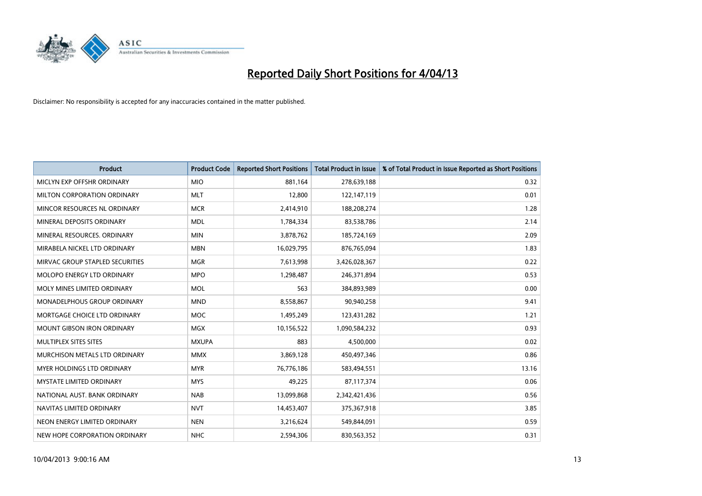

| <b>Product</b>                    | <b>Product Code</b> | <b>Reported Short Positions</b> | <b>Total Product in Issue</b> | % of Total Product in Issue Reported as Short Positions |
|-----------------------------------|---------------------|---------------------------------|-------------------------------|---------------------------------------------------------|
| MICLYN EXP OFFSHR ORDINARY        | <b>MIO</b>          | 881,164                         | 278,639,188                   | 0.32                                                    |
| MILTON CORPORATION ORDINARY       | <b>MLT</b>          | 12,800                          | 122,147,119                   | 0.01                                                    |
| MINCOR RESOURCES NL ORDINARY      | <b>MCR</b>          | 2,414,910                       | 188,208,274                   | 1.28                                                    |
| MINERAL DEPOSITS ORDINARY         | <b>MDL</b>          | 1,784,334                       | 83,538,786                    | 2.14                                                    |
| MINERAL RESOURCES, ORDINARY       | <b>MIN</b>          | 3,878,762                       | 185,724,169                   | 2.09                                                    |
| MIRABELA NICKEL LTD ORDINARY      | <b>MBN</b>          | 16,029,795                      | 876,765,094                   | 1.83                                                    |
| MIRVAC GROUP STAPLED SECURITIES   | <b>MGR</b>          | 7,613,998                       | 3,426,028,367                 | 0.22                                                    |
| MOLOPO ENERGY LTD ORDINARY        | <b>MPO</b>          | 1,298,487                       | 246,371,894                   | 0.53                                                    |
| MOLY MINES LIMITED ORDINARY       | <b>MOL</b>          | 563                             | 384,893,989                   | 0.00                                                    |
| MONADELPHOUS GROUP ORDINARY       | <b>MND</b>          | 8,558,867                       | 90,940,258                    | 9.41                                                    |
| MORTGAGE CHOICE LTD ORDINARY      | <b>MOC</b>          | 1,495,249                       | 123,431,282                   | 1.21                                                    |
| <b>MOUNT GIBSON IRON ORDINARY</b> | <b>MGX</b>          | 10,156,522                      | 1,090,584,232                 | 0.93                                                    |
| MULTIPLEX SITES SITES             | <b>MXUPA</b>        | 883                             | 4,500,000                     | 0.02                                                    |
| MURCHISON METALS LTD ORDINARY     | <b>MMX</b>          | 3,869,128                       | 450,497,346                   | 0.86                                                    |
| MYER HOLDINGS LTD ORDINARY        | <b>MYR</b>          | 76,776,186                      | 583,494,551                   | 13.16                                                   |
| MYSTATE LIMITED ORDINARY          | <b>MYS</b>          | 49,225                          | 87,117,374                    | 0.06                                                    |
| NATIONAL AUST. BANK ORDINARY      | <b>NAB</b>          | 13,099,868                      | 2,342,421,436                 | 0.56                                                    |
| NAVITAS LIMITED ORDINARY          | <b>NVT</b>          | 14,453,407                      | 375,367,918                   | 3.85                                                    |
| NEON ENERGY LIMITED ORDINARY      | <b>NEN</b>          | 3,216,624                       | 549,844,091                   | 0.59                                                    |
| NEW HOPE CORPORATION ORDINARY     | <b>NHC</b>          | 2,594,306                       | 830,563,352                   | 0.31                                                    |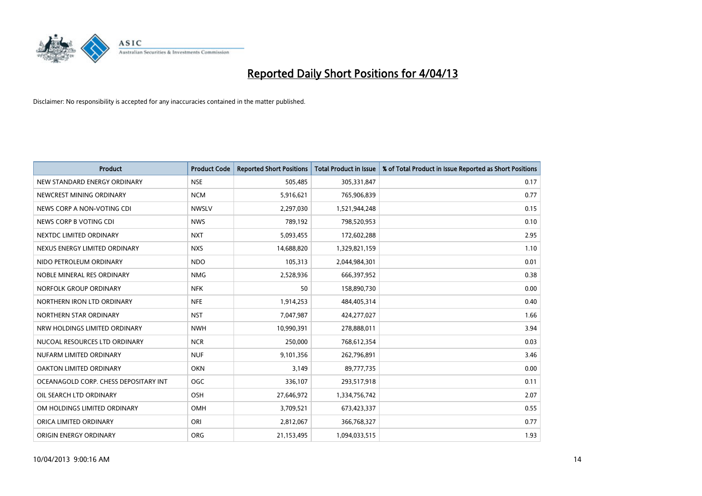

| <b>Product</b>                        | <b>Product Code</b> | <b>Reported Short Positions</b> | <b>Total Product in Issue</b> | % of Total Product in Issue Reported as Short Positions |
|---------------------------------------|---------------------|---------------------------------|-------------------------------|---------------------------------------------------------|
| NEW STANDARD ENERGY ORDINARY          | <b>NSE</b>          | 505,485                         | 305,331,847                   | 0.17                                                    |
| NEWCREST MINING ORDINARY              | <b>NCM</b>          | 5,916,621                       | 765,906,839                   | 0.77                                                    |
| NEWS CORP A NON-VOTING CDI            | <b>NWSLV</b>        | 2,297,030                       | 1,521,944,248                 | 0.15                                                    |
| NEWS CORP B VOTING CDI                | <b>NWS</b>          | 789,192                         | 798,520,953                   | 0.10                                                    |
| NEXTDC LIMITED ORDINARY               | <b>NXT</b>          | 5,093,455                       | 172,602,288                   | 2.95                                                    |
| NEXUS ENERGY LIMITED ORDINARY         | <b>NXS</b>          | 14,688,820                      | 1,329,821,159                 | 1.10                                                    |
| NIDO PETROLEUM ORDINARY               | <b>NDO</b>          | 105,313                         | 2,044,984,301                 | 0.01                                                    |
| NOBLE MINERAL RES ORDINARY            | <b>NMG</b>          | 2,528,936                       | 666,397,952                   | 0.38                                                    |
| NORFOLK GROUP ORDINARY                | <b>NFK</b>          | 50                              | 158,890,730                   | 0.00                                                    |
| NORTHERN IRON LTD ORDINARY            | <b>NFE</b>          | 1,914,253                       | 484,405,314                   | 0.40                                                    |
| NORTHERN STAR ORDINARY                | <b>NST</b>          | 7,047,987                       | 424,277,027                   | 1.66                                                    |
| NRW HOLDINGS LIMITED ORDINARY         | <b>NWH</b>          | 10,990,391                      | 278,888,011                   | 3.94                                                    |
| NUCOAL RESOURCES LTD ORDINARY         | <b>NCR</b>          | 250,000                         | 768,612,354                   | 0.03                                                    |
| NUFARM LIMITED ORDINARY               | <b>NUF</b>          | 9,101,356                       | 262,796,891                   | 3.46                                                    |
| <b>OAKTON LIMITED ORDINARY</b>        | <b>OKN</b>          | 3,149                           | 89,777,735                    | 0.00                                                    |
| OCEANAGOLD CORP. CHESS DEPOSITARY INT | <b>OGC</b>          | 336,107                         | 293,517,918                   | 0.11                                                    |
| OIL SEARCH LTD ORDINARY               | OSH                 | 27,646,972                      | 1,334,756,742                 | 2.07                                                    |
| OM HOLDINGS LIMITED ORDINARY          | OMH                 | 3,709,521                       | 673,423,337                   | 0.55                                                    |
| ORICA LIMITED ORDINARY                | ORI                 | 2,812,067                       | 366,768,327                   | 0.77                                                    |
| ORIGIN ENERGY ORDINARY                | <b>ORG</b>          | 21,153,495                      | 1,094,033,515                 | 1.93                                                    |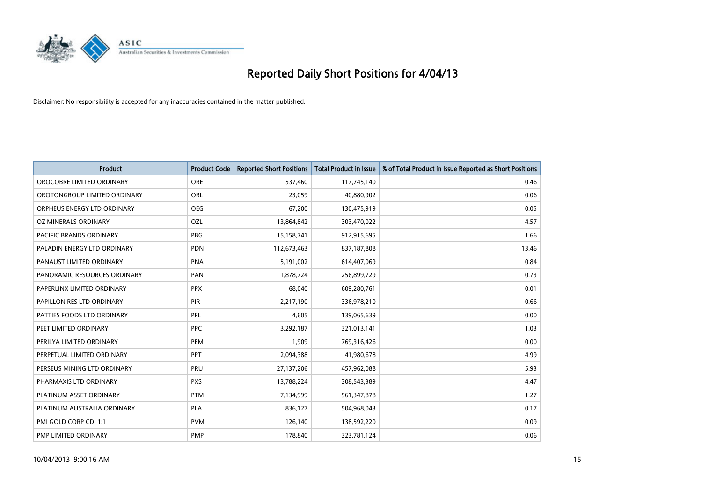

| <b>Product</b>                 | <b>Product Code</b> | <b>Reported Short Positions</b> | <b>Total Product in Issue</b> | % of Total Product in Issue Reported as Short Positions |
|--------------------------------|---------------------|---------------------------------|-------------------------------|---------------------------------------------------------|
| OROCOBRE LIMITED ORDINARY      | <b>ORE</b>          | 537,460                         | 117,745,140                   | 0.46                                                    |
| OROTONGROUP LIMITED ORDINARY   | <b>ORL</b>          | 23,059                          | 40,880,902                    | 0.06                                                    |
| ORPHEUS ENERGY LTD ORDINARY    | <b>OEG</b>          | 67,200                          | 130,475,919                   | 0.05                                                    |
| OZ MINERALS ORDINARY           | OZL                 | 13,864,842                      | 303,470,022                   | 4.57                                                    |
| <b>PACIFIC BRANDS ORDINARY</b> | <b>PBG</b>          | 15,158,741                      | 912,915,695                   | 1.66                                                    |
| PALADIN ENERGY LTD ORDINARY    | <b>PDN</b>          | 112,673,463                     | 837,187,808                   | 13.46                                                   |
| PANAUST LIMITED ORDINARY       | <b>PNA</b>          | 5,191,002                       | 614,407,069                   | 0.84                                                    |
| PANORAMIC RESOURCES ORDINARY   | PAN                 | 1,878,724                       | 256,899,729                   | 0.73                                                    |
| PAPERLINX LIMITED ORDINARY     | <b>PPX</b>          | 68,040                          | 609,280,761                   | 0.01                                                    |
| PAPILLON RES LTD ORDINARY      | PIR                 | 2,217,190                       | 336,978,210                   | 0.66                                                    |
| PATTIES FOODS LTD ORDINARY     | <b>PFL</b>          | 4,605                           | 139,065,639                   | 0.00                                                    |
| PEET LIMITED ORDINARY          | <b>PPC</b>          | 3,292,187                       | 321,013,141                   | 1.03                                                    |
| PERILYA LIMITED ORDINARY       | PEM                 | 1,909                           | 769,316,426                   | 0.00                                                    |
| PERPETUAL LIMITED ORDINARY     | <b>PPT</b>          | 2,094,388                       | 41,980,678                    | 4.99                                                    |
| PERSEUS MINING LTD ORDINARY    | PRU                 | 27,137,206                      | 457,962,088                   | 5.93                                                    |
| PHARMAXIS LTD ORDINARY         | <b>PXS</b>          | 13,788,224                      | 308,543,389                   | 4.47                                                    |
| PLATINUM ASSET ORDINARY        | <b>PTM</b>          | 7,134,999                       | 561,347,878                   | 1.27                                                    |
| PLATINUM AUSTRALIA ORDINARY    | PLA                 | 836,127                         | 504,968,043                   | 0.17                                                    |
| PMI GOLD CORP CDI 1:1          | <b>PVM</b>          | 126,140                         | 138,592,220                   | 0.09                                                    |
| PMP LIMITED ORDINARY           | <b>PMP</b>          | 178,840                         | 323,781,124                   | 0.06                                                    |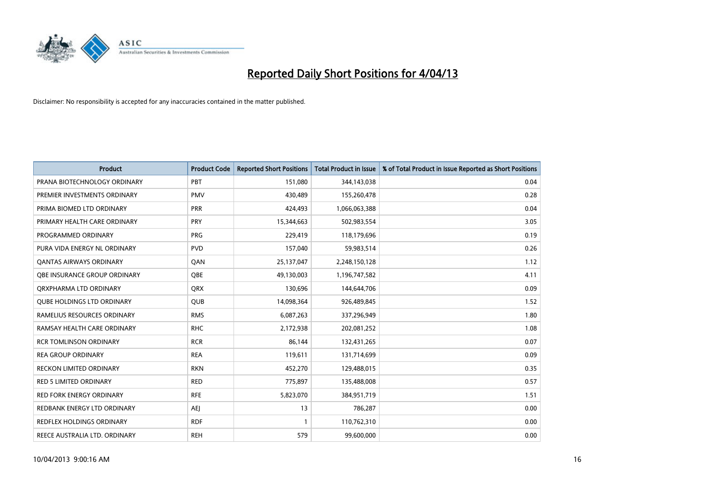

| <b>Product</b>                    | <b>Product Code</b> | <b>Reported Short Positions</b> | <b>Total Product in Issue</b> | % of Total Product in Issue Reported as Short Positions |
|-----------------------------------|---------------------|---------------------------------|-------------------------------|---------------------------------------------------------|
| PRANA BIOTECHNOLOGY ORDINARY      | <b>PBT</b>          | 151,080                         | 344,143,038                   | 0.04                                                    |
| PREMIER INVESTMENTS ORDINARY      | <b>PMV</b>          | 430,489                         | 155,260,478                   | 0.28                                                    |
| PRIMA BIOMED LTD ORDINARY         | <b>PRR</b>          | 424.493                         | 1,066,063,388                 | 0.04                                                    |
| PRIMARY HEALTH CARE ORDINARY      | PRY                 | 15,344,663                      | 502,983,554                   | 3.05                                                    |
| PROGRAMMED ORDINARY               | <b>PRG</b>          | 229,419                         | 118,179,696                   | 0.19                                                    |
| PURA VIDA ENERGY NL ORDINARY      | <b>PVD</b>          | 157,040                         | 59,983,514                    | 0.26                                                    |
| <b>QANTAS AIRWAYS ORDINARY</b>    | QAN                 | 25,137,047                      | 2,248,150,128                 | 1.12                                                    |
| OBE INSURANCE GROUP ORDINARY      | <b>OBE</b>          | 49,130,003                      | 1,196,747,582                 | 4.11                                                    |
| ORXPHARMA LTD ORDINARY            | <b>QRX</b>          | 130,696                         | 144,644,706                   | 0.09                                                    |
| <b>QUBE HOLDINGS LTD ORDINARY</b> | <b>QUB</b>          | 14,098,364                      | 926,489,845                   | 1.52                                                    |
| RAMELIUS RESOURCES ORDINARY       | <b>RMS</b>          | 6,087,263                       | 337,296,949                   | 1.80                                                    |
| RAMSAY HEALTH CARE ORDINARY       | <b>RHC</b>          | 2,172,938                       | 202,081,252                   | 1.08                                                    |
| <b>RCR TOMLINSON ORDINARY</b>     | <b>RCR</b>          | 86,144                          | 132,431,265                   | 0.07                                                    |
| <b>REA GROUP ORDINARY</b>         | <b>REA</b>          | 119,611                         | 131,714,699                   | 0.09                                                    |
| <b>RECKON LIMITED ORDINARY</b>    | <b>RKN</b>          | 452,270                         | 129,488,015                   | 0.35                                                    |
| RED 5 LIMITED ORDINARY            | <b>RED</b>          | 775,897                         | 135,488,008                   | 0.57                                                    |
| RED FORK ENERGY ORDINARY          | <b>RFE</b>          | 5,823,070                       | 384,951,719                   | 1.51                                                    |
| REDBANK ENERGY LTD ORDINARY       | AEJ                 | 13                              | 786,287                       | 0.00                                                    |
| <b>REDFLEX HOLDINGS ORDINARY</b>  | <b>RDF</b>          | 1                               | 110,762,310                   | 0.00                                                    |
| REECE AUSTRALIA LTD. ORDINARY     | <b>REH</b>          | 579                             | 99,600,000                    | 0.00                                                    |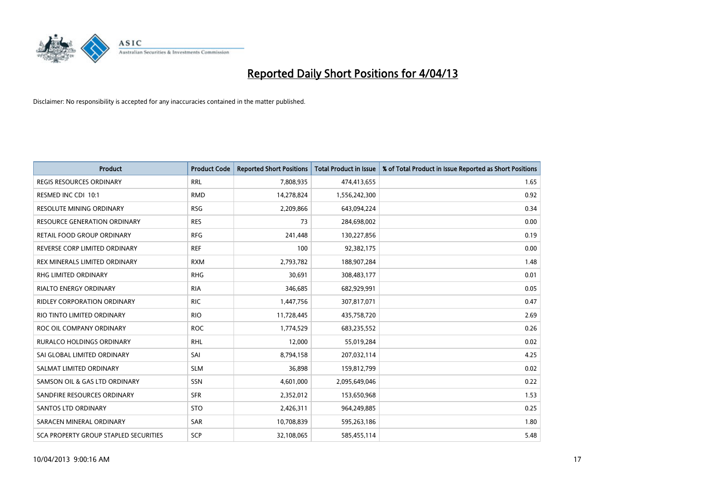

| <b>Product</b>                               | <b>Product Code</b> | <b>Reported Short Positions</b> | <b>Total Product in Issue</b> | % of Total Product in Issue Reported as Short Positions |
|----------------------------------------------|---------------------|---------------------------------|-------------------------------|---------------------------------------------------------|
| <b>REGIS RESOURCES ORDINARY</b>              | <b>RRL</b>          | 7,808,935                       | 474,413,655                   | 1.65                                                    |
| RESMED INC CDI 10:1                          | <b>RMD</b>          | 14,278,824                      | 1,556,242,300                 | 0.92                                                    |
| <b>RESOLUTE MINING ORDINARY</b>              | <b>RSG</b>          | 2,209,866                       | 643,094,224                   | 0.34                                                    |
| RESOURCE GENERATION ORDINARY                 | <b>RES</b>          | 73                              | 284,698,002                   | 0.00                                                    |
| RETAIL FOOD GROUP ORDINARY                   | <b>RFG</b>          | 241,448                         | 130,227,856                   | 0.19                                                    |
| REVERSE CORP LIMITED ORDINARY                | <b>REF</b>          | 100                             | 92,382,175                    | 0.00                                                    |
| REX MINERALS LIMITED ORDINARY                | <b>RXM</b>          | 2,793,782                       | 188,907,284                   | 1.48                                                    |
| RHG LIMITED ORDINARY                         | <b>RHG</b>          | 30,691                          | 308,483,177                   | 0.01                                                    |
| RIALTO ENERGY ORDINARY                       | <b>RIA</b>          | 346,685                         | 682,929,991                   | 0.05                                                    |
| <b>RIDLEY CORPORATION ORDINARY</b>           | <b>RIC</b>          | 1,447,756                       | 307,817,071                   | 0.47                                                    |
| RIO TINTO LIMITED ORDINARY                   | <b>RIO</b>          | 11,728,445                      | 435,758,720                   | 2.69                                                    |
| ROC OIL COMPANY ORDINARY                     | <b>ROC</b>          | 1,774,529                       | 683,235,552                   | 0.26                                                    |
| RURALCO HOLDINGS ORDINARY                    | <b>RHL</b>          | 12,000                          | 55,019,284                    | 0.02                                                    |
| SAI GLOBAL LIMITED ORDINARY                  | SAI                 | 8,794,158                       | 207,032,114                   | 4.25                                                    |
| SALMAT LIMITED ORDINARY                      | <b>SLM</b>          | 36,898                          | 159,812,799                   | 0.02                                                    |
| SAMSON OIL & GAS LTD ORDINARY                | SSN                 | 4,601,000                       | 2,095,649,046                 | 0.22                                                    |
| SANDFIRE RESOURCES ORDINARY                  | <b>SFR</b>          | 2,352,012                       | 153,650,968                   | 1.53                                                    |
| SANTOS LTD ORDINARY                          | <b>STO</b>          | 2,426,311                       | 964,249,885                   | 0.25                                                    |
| SARACEN MINERAL ORDINARY                     | SAR                 | 10,708,839                      | 595,263,186                   | 1.80                                                    |
| <b>SCA PROPERTY GROUP STAPLED SECURITIES</b> | <b>SCP</b>          | 32,108,065                      | 585,455,114                   | 5.48                                                    |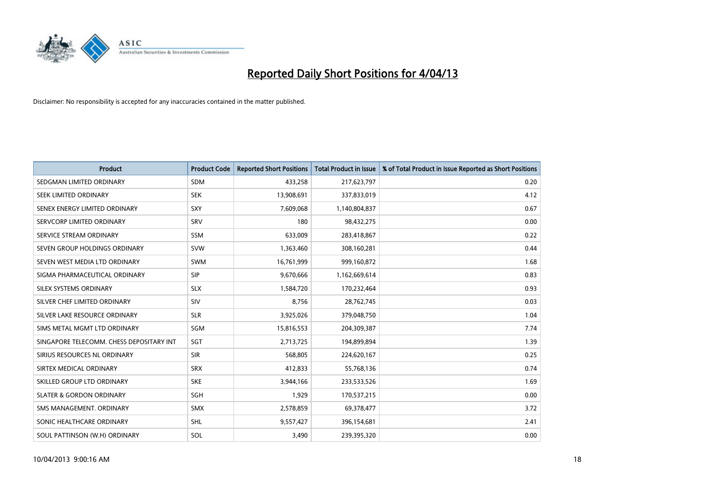

| <b>Product</b>                           | <b>Product Code</b> | <b>Reported Short Positions</b> | <b>Total Product in Issue</b> | % of Total Product in Issue Reported as Short Positions |
|------------------------------------------|---------------------|---------------------------------|-------------------------------|---------------------------------------------------------|
| SEDGMAN LIMITED ORDINARY                 | <b>SDM</b>          | 433,258                         | 217,623,797                   | 0.20                                                    |
| SEEK LIMITED ORDINARY                    | <b>SEK</b>          | 13,908,691                      | 337,833,019                   | 4.12                                                    |
| SENEX ENERGY LIMITED ORDINARY            | SXY                 | 7,609,068                       | 1,140,804,837                 | 0.67                                                    |
| SERVCORP LIMITED ORDINARY                | SRV                 | 180                             | 98,432,275                    | 0.00                                                    |
| SERVICE STREAM ORDINARY                  | SSM                 | 633,009                         | 283,418,867                   | 0.22                                                    |
| SEVEN GROUP HOLDINGS ORDINARY            | <b>SVW</b>          | 1,363,460                       | 308,160,281                   | 0.44                                                    |
| SEVEN WEST MEDIA LTD ORDINARY            | SWM                 | 16,761,999                      | 999,160,872                   | 1.68                                                    |
| SIGMA PHARMACEUTICAL ORDINARY            | <b>SIP</b>          | 9,670,666                       | 1,162,669,614                 | 0.83                                                    |
| SILEX SYSTEMS ORDINARY                   | <b>SLX</b>          | 1,584,720                       | 170,232,464                   | 0.93                                                    |
| SILVER CHEF LIMITED ORDINARY             | SIV                 | 8,756                           | 28,762,745                    | 0.03                                                    |
| SILVER LAKE RESOURCE ORDINARY            | <b>SLR</b>          | 3,925,026                       | 379,048,750                   | 1.04                                                    |
| SIMS METAL MGMT LTD ORDINARY             | <b>SGM</b>          | 15,816,553                      | 204,309,387                   | 7.74                                                    |
| SINGAPORE TELECOMM. CHESS DEPOSITARY INT | SGT                 | 2,713,725                       | 194,899,894                   | 1.39                                                    |
| SIRIUS RESOURCES NL ORDINARY             | <b>SIR</b>          | 568,805                         | 224,620,167                   | 0.25                                                    |
| SIRTEX MEDICAL ORDINARY                  | <b>SRX</b>          | 412,833                         | 55,768,136                    | 0.74                                                    |
| SKILLED GROUP LTD ORDINARY               | <b>SKE</b>          | 3,944,166                       | 233,533,526                   | 1.69                                                    |
| <b>SLATER &amp; GORDON ORDINARY</b>      | SGH                 | 1,929                           | 170,537,215                   | 0.00                                                    |
| SMS MANAGEMENT, ORDINARY                 | <b>SMX</b>          | 2,578,859                       | 69,378,477                    | 3.72                                                    |
| SONIC HEALTHCARE ORDINARY                | <b>SHL</b>          | 9,557,427                       | 396,154,681                   | 2.41                                                    |
| SOUL PATTINSON (W.H) ORDINARY            | SOL                 | 3,490                           | 239,395,320                   | 0.00                                                    |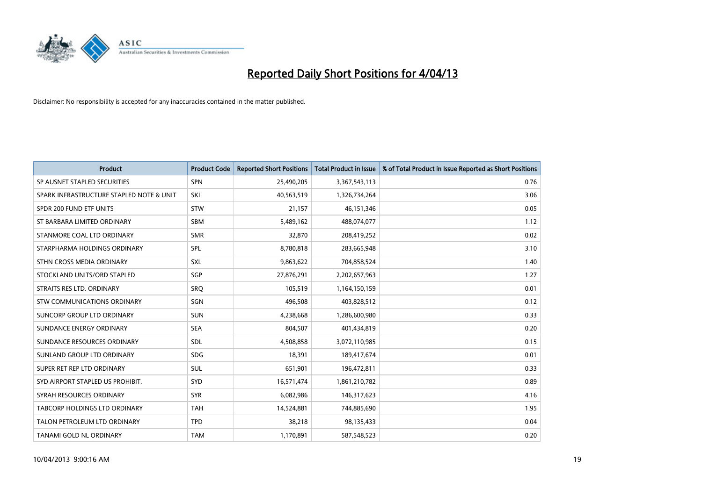

| <b>Product</b>                           | <b>Product Code</b> | <b>Reported Short Positions</b> | <b>Total Product in Issue</b> | % of Total Product in Issue Reported as Short Positions |
|------------------------------------------|---------------------|---------------------------------|-------------------------------|---------------------------------------------------------|
| SP AUSNET STAPLED SECURITIES             | SPN                 | 25,490,205                      | 3,367,543,113                 | 0.76                                                    |
| SPARK INFRASTRUCTURE STAPLED NOTE & UNIT | SKI                 | 40,563,519                      | 1,326,734,264                 | 3.06                                                    |
| SPDR 200 FUND ETF UNITS                  | <b>STW</b>          | 21,157                          | 46,151,346                    | 0.05                                                    |
| ST BARBARA LIMITED ORDINARY              | <b>SBM</b>          | 5,489,162                       | 488,074,077                   | 1.12                                                    |
| STANMORE COAL LTD ORDINARY               | <b>SMR</b>          | 32,870                          | 208,419,252                   | 0.02                                                    |
| STARPHARMA HOLDINGS ORDINARY             | SPL                 | 8,780,818                       | 283,665,948                   | 3.10                                                    |
| STHN CROSS MEDIA ORDINARY                | <b>SXL</b>          | 9,863,622                       | 704,858,524                   | 1.40                                                    |
| STOCKLAND UNITS/ORD STAPLED              | SGP                 | 27,876,291                      | 2,202,657,963                 | 1.27                                                    |
| STRAITS RES LTD. ORDINARY                | SRO                 | 105,519                         | 1,164,150,159                 | 0.01                                                    |
| STW COMMUNICATIONS ORDINARY              | SGN                 | 496,508                         | 403,828,512                   | 0.12                                                    |
| SUNCORP GROUP LTD ORDINARY               | <b>SUN</b>          | 4,238,668                       | 1,286,600,980                 | 0.33                                                    |
| SUNDANCE ENERGY ORDINARY                 | <b>SEA</b>          | 804,507                         | 401,434,819                   | 0.20                                                    |
| SUNDANCE RESOURCES ORDINARY              | <b>SDL</b>          | 4,508,858                       | 3,072,110,985                 | 0.15                                                    |
| SUNLAND GROUP LTD ORDINARY               | <b>SDG</b>          | 18,391                          | 189,417,674                   | 0.01                                                    |
| SUPER RET REP LTD ORDINARY               | SUL                 | 651,901                         | 196,472,811                   | 0.33                                                    |
| SYD AIRPORT STAPLED US PROHIBIT.         | <b>SYD</b>          | 16,571,474                      | 1,861,210,782                 | 0.89                                                    |
| SYRAH RESOURCES ORDINARY                 | <b>SYR</b>          | 6,082,986                       | 146,317,623                   | 4.16                                                    |
| TABCORP HOLDINGS LTD ORDINARY            | <b>TAH</b>          | 14,524,881                      | 744,885,690                   | 1.95                                                    |
| TALON PETROLEUM LTD ORDINARY             | <b>TPD</b>          | 38,218                          | 98,135,433                    | 0.04                                                    |
| TANAMI GOLD NL ORDINARY                  | <b>TAM</b>          | 1,170,891                       | 587,548,523                   | 0.20                                                    |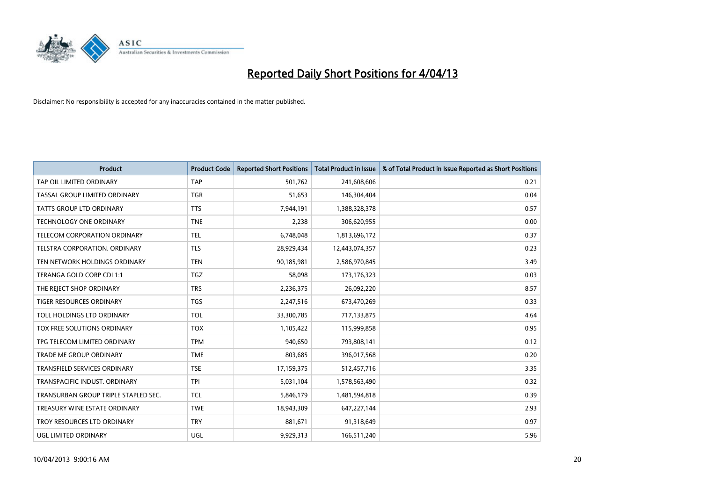

| <b>Product</b>                       | <b>Product Code</b> | <b>Reported Short Positions</b> | <b>Total Product in Issue</b> | % of Total Product in Issue Reported as Short Positions |
|--------------------------------------|---------------------|---------------------------------|-------------------------------|---------------------------------------------------------|
| TAP OIL LIMITED ORDINARY             | <b>TAP</b>          | 501,762                         | 241,608,606                   | 0.21                                                    |
| TASSAL GROUP LIMITED ORDINARY        | <b>TGR</b>          | 51,653                          | 146,304,404                   | 0.04                                                    |
| TATTS GROUP LTD ORDINARY             | <b>TTS</b>          | 7,944,191                       | 1,388,328,378                 | 0.57                                                    |
| <b>TECHNOLOGY ONE ORDINARY</b>       | <b>TNE</b>          | 2,238                           | 306,620,955                   | 0.00                                                    |
| TELECOM CORPORATION ORDINARY         | <b>TEL</b>          | 6,748,048                       | 1,813,696,172                 | 0.37                                                    |
| TELSTRA CORPORATION, ORDINARY        | <b>TLS</b>          | 28,929,434                      | 12,443,074,357                | 0.23                                                    |
| TEN NETWORK HOLDINGS ORDINARY        | <b>TEN</b>          | 90,185,981                      | 2,586,970,845                 | 3.49                                                    |
| TERANGA GOLD CORP CDI 1:1            | TGZ                 | 58,098                          | 173, 176, 323                 | 0.03                                                    |
| THE REJECT SHOP ORDINARY             | <b>TRS</b>          | 2,236,375                       | 26,092,220                    | 8.57                                                    |
| <b>TIGER RESOURCES ORDINARY</b>      | <b>TGS</b>          | 2,247,516                       | 673,470,269                   | 0.33                                                    |
| TOLL HOLDINGS LTD ORDINARY           | <b>TOL</b>          | 33,300,785                      | 717,133,875                   | 4.64                                                    |
| TOX FREE SOLUTIONS ORDINARY          | <b>TOX</b>          | 1,105,422                       | 115,999,858                   | 0.95                                                    |
| TPG TELECOM LIMITED ORDINARY         | <b>TPM</b>          | 940,650                         | 793,808,141                   | 0.12                                                    |
| <b>TRADE ME GROUP ORDINARY</b>       | <b>TME</b>          | 803,685                         | 396,017,568                   | 0.20                                                    |
| <b>TRANSFIELD SERVICES ORDINARY</b>  | <b>TSE</b>          | 17,159,375                      | 512,457,716                   | 3.35                                                    |
| TRANSPACIFIC INDUST. ORDINARY        | <b>TPI</b>          | 5,031,104                       | 1,578,563,490                 | 0.32                                                    |
| TRANSURBAN GROUP TRIPLE STAPLED SEC. | <b>TCL</b>          | 5,846,179                       | 1,481,594,818                 | 0.39                                                    |
| TREASURY WINE ESTATE ORDINARY        | <b>TWE</b>          | 18,943,309                      | 647,227,144                   | 2.93                                                    |
| TROY RESOURCES LTD ORDINARY          | <b>TRY</b>          | 881,671                         | 91,318,649                    | 0.97                                                    |
| UGL LIMITED ORDINARY                 | UGL                 | 9,929,313                       | 166,511,240                   | 5.96                                                    |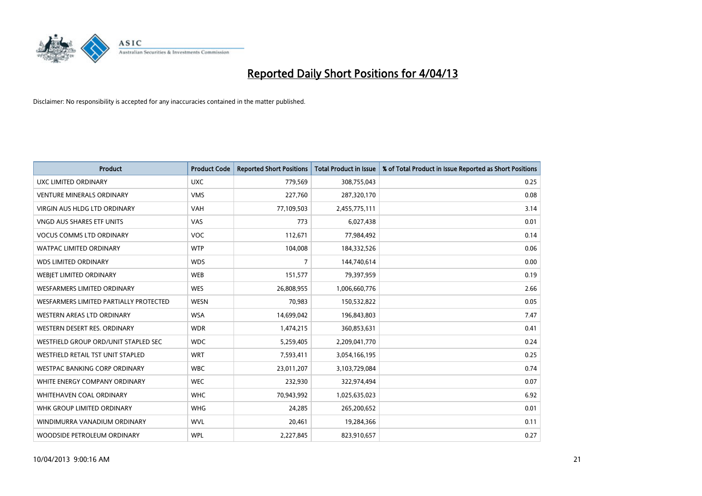

| <b>Product</b>                         | <b>Product Code</b> | <b>Reported Short Positions</b> | <b>Total Product in Issue</b> | % of Total Product in Issue Reported as Short Positions |
|----------------------------------------|---------------------|---------------------------------|-------------------------------|---------------------------------------------------------|
| <b>UXC LIMITED ORDINARY</b>            | <b>UXC</b>          | 779,569                         | 308,755,043                   | 0.25                                                    |
| <b>VENTURE MINERALS ORDINARY</b>       | <b>VMS</b>          | 227,760                         | 287,320,170                   | 0.08                                                    |
| VIRGIN AUS HLDG LTD ORDINARY           | <b>VAH</b>          | 77,109,503                      | 2,455,775,111                 | 3.14                                                    |
| VNGD AUS SHARES ETF UNITS              | <b>VAS</b>          | 773                             | 6,027,438                     | 0.01                                                    |
| <b>VOCUS COMMS LTD ORDINARY</b>        | <b>VOC</b>          | 112,671                         | 77,984,492                    | 0.14                                                    |
| <b>WATPAC LIMITED ORDINARY</b>         | <b>WTP</b>          | 104,008                         | 184,332,526                   | 0.06                                                    |
| <b>WDS LIMITED ORDINARY</b>            | <b>WDS</b>          | $\overline{7}$                  | 144,740,614                   | 0.00                                                    |
| WEBIET LIMITED ORDINARY                | <b>WEB</b>          | 151,577                         | 79,397,959                    | 0.19                                                    |
| <b>WESFARMERS LIMITED ORDINARY</b>     | <b>WES</b>          | 26,808,955                      | 1,006,660,776                 | 2.66                                                    |
| WESFARMERS LIMITED PARTIALLY PROTECTED | <b>WESN</b>         | 70,983                          | 150,532,822                   | 0.05                                                    |
| WESTERN AREAS LTD ORDINARY             | <b>WSA</b>          | 14,699,042                      | 196,843,803                   | 7.47                                                    |
| WESTERN DESERT RES. ORDINARY           | <b>WDR</b>          | 1,474,215                       | 360,853,631                   | 0.41                                                    |
| WESTFIELD GROUP ORD/UNIT STAPLED SEC   | <b>WDC</b>          | 5,259,405                       | 2,209,041,770                 | 0.24                                                    |
| WESTFIELD RETAIL TST UNIT STAPLED      | <b>WRT</b>          | 7,593,411                       | 3,054,166,195                 | 0.25                                                    |
| <b>WESTPAC BANKING CORP ORDINARY</b>   | <b>WBC</b>          | 23,011,207                      | 3,103,729,084                 | 0.74                                                    |
| WHITE ENERGY COMPANY ORDINARY          | <b>WEC</b>          | 232,930                         | 322,974,494                   | 0.07                                                    |
| <b>WHITEHAVEN COAL ORDINARY</b>        | <b>WHC</b>          | 70,943,992                      | 1,025,635,023                 | 6.92                                                    |
| WHK GROUP LIMITED ORDINARY             | <b>WHG</b>          | 24,285                          | 265,200,652                   | 0.01                                                    |
| WINDIMURRA VANADIUM ORDINARY           | <b>WVL</b>          | 20,461                          | 19,284,366                    | 0.11                                                    |
| WOODSIDE PETROLEUM ORDINARY            | <b>WPL</b>          | 2,227,845                       | 823,910,657                   | 0.27                                                    |